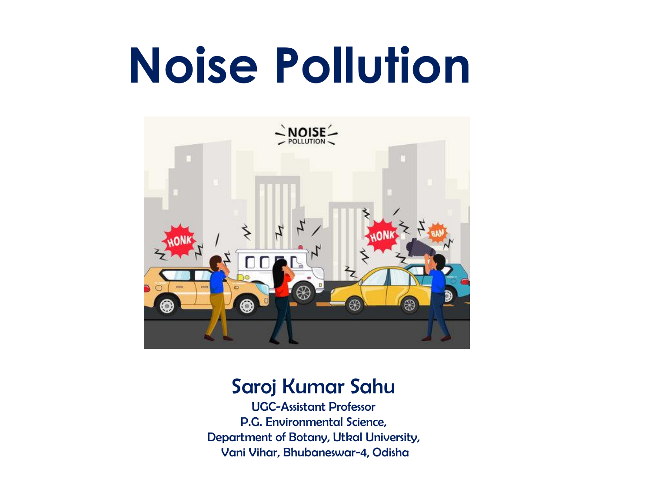# **Noise Pollution**



#### Saroj Kumar Sahu

UGC-Assistant Professor P.G. Environmental Science, Department of Botany, Utkal University, Vani Vihar, Bhubaneswar-4, Odisha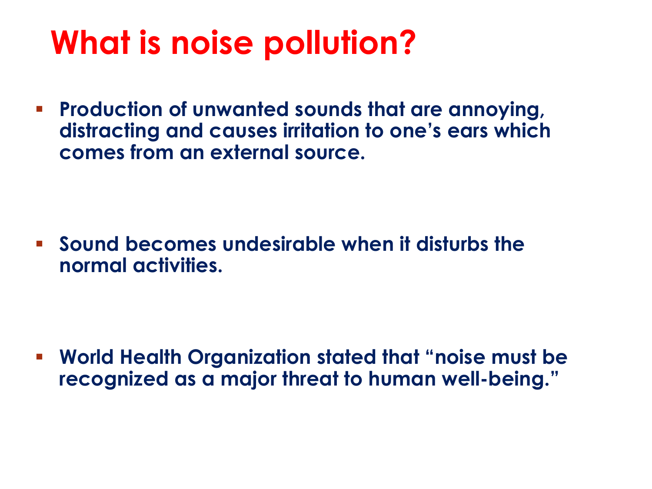# **What is noise pollution?**

 **Production of unwanted sounds that are annoying, distracting and causes irritation to one's ears which comes from an external source.**

 **Sound becomes undesirable when it disturbs the normal activities.**

 **World Health Organization stated that "noise must be recognized as a major threat to human well-being."**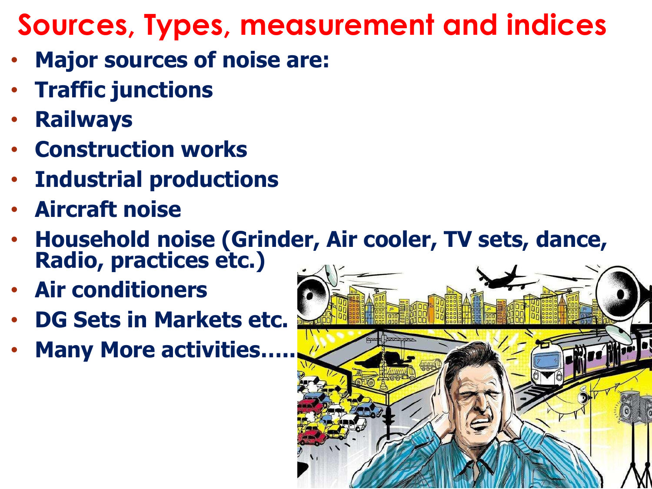### **Sources, Types, measurement and indices**

- **Major sources of noise are:**
- **Traffic junctions**
- **Railways**
- **Construction works**
- **Industrial productions**
- **Aircraft noise**
- **Household noise (Grinder, Air cooler, TV sets, dance, Radio, practices etc.)**
- **Air conditioners**
- **DG Sets in Markets etc.**
- **Many More activities…..**

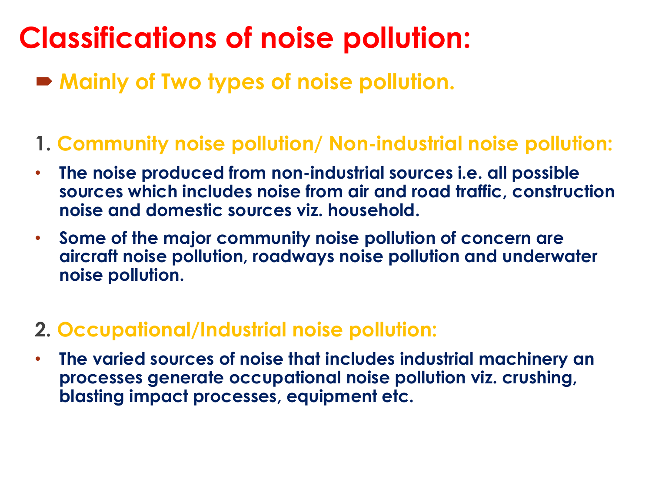### **Classifications of noise pollution:**

**Mainly of Two types of noise pollution.**

#### **1. Community noise pollution/ Non-industrial noise pollution:**

- **The noise produced from non-industrial sources i.e. all possible sources which includes noise from air and road traffic, construction noise and domestic sources viz. household.**
- **Some of the major community noise pollution of concern are aircraft noise pollution, roadways noise pollution and underwater noise pollution.**

#### **2. Occupational/Industrial noise pollution:**

• **The varied sources of noise that includes industrial machinery an processes generate occupational noise pollution viz. crushing, blasting impact processes, equipment etc.**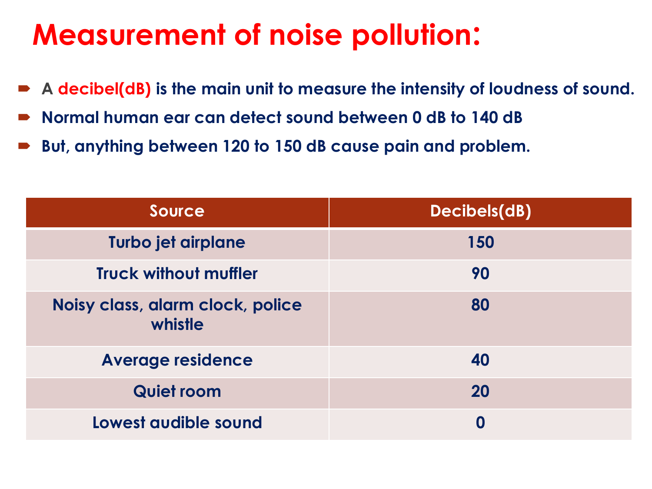#### **Measurement of noise pollution:**

- **A decibel(dB) is the main unit to measure the intensity of loudness of sound.**
- **Normal human ear can detect sound between 0 dB to 140 dB**
- **But, anything between 120 to 150 dB cause pain and problem.**

| <b>Source</b>                               | Decibels(dB) |
|---------------------------------------------|--------------|
| Turbo jet airplane                          | 150          |
| <b>Truck without muffler</b>                | 90           |
| Noisy class, alarm clock, police<br>whistle | 80           |
| <b>Average residence</b>                    | 40           |
| <b>Quiet room</b>                           | 20           |
| Lowest audible sound                        | 0            |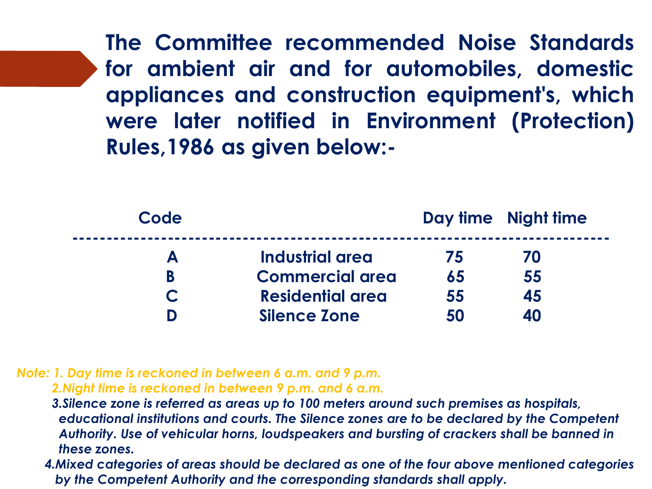**The Committee recommended Noise Standards for ambient air and for automobiles, domestic appliances and construction equipment's, which were later notified in Environment (Protection) Rules,1986 as given below:-**

| Code |                         |    | Day time Night time |
|------|-------------------------|----|---------------------|
| A    | Industrial area         | 75 | 70                  |
| В    | <b>Commercial area</b>  | 65 | 55                  |
|      | <b>Residential area</b> | 55 | 45                  |
|      | <b>Silence Zone</b>     | 50 | 40                  |

*Note: 1. Day time is reckoned in between 6 a.m. and 9 p.m. 2.Night time is reckoned in between 9 p.m. and 6 a.m.*

*3.Silence zone is referred as areas up to 100 meters around such premises as hospitals, educational institutions and courts. The Silence zones are to be declared by the Competent Authority. Use of vehicular horns, loudspeakers and bursting of crackers shall be banned in these zones.*

*4.Mixed categories of areas should be declared as one of the four above mentioned categories by the Competent Authority and the corresponding standards shall apply.*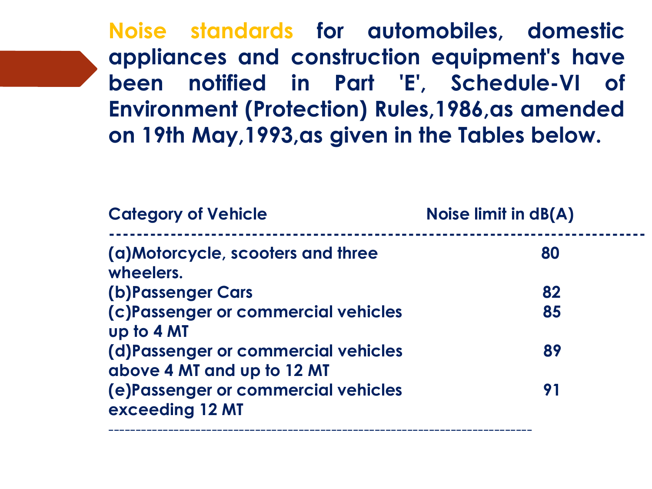**Noise standards for automobiles, domestic appliances and construction equipment's have been notified in Part 'E', Schedule-VI of Environment (Protection) Rules,1986,as amended on 19th May,1993,as given in the Tables below.**

| <b>Category of Vehicle</b>                                        | Noise limit in dB(A) |  |
|-------------------------------------------------------------------|----------------------|--|
| (a) Motorcycle, scooters and three<br>wheelers.                   | 80                   |  |
| (b) Passenger Cars                                                | 82                   |  |
| (c)Passenger or commercial vehicles<br>up to 4 MT                 | 85                   |  |
| (d)Passenger or commercial vehicles<br>above 4 MT and up to 12 MT | 89                   |  |
| (e)Passenger or commercial vehicles<br>exceeding 12 MT            | 91                   |  |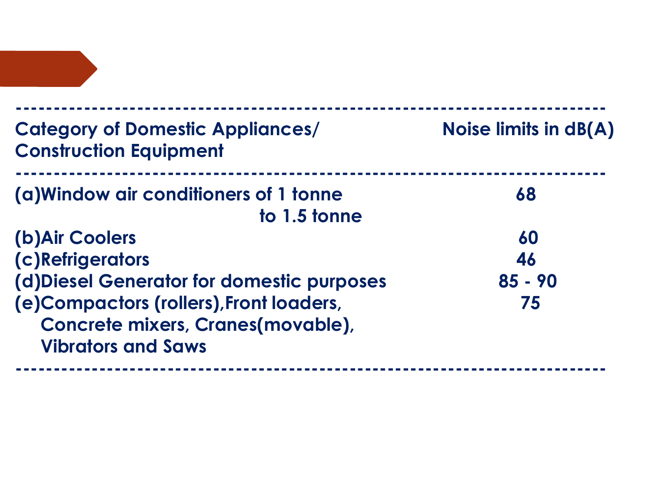| <b>Category of Domestic Appliances/</b><br><b>Construction Equipment</b>                                   | Noise limits in $dB(A)$ |  |
|------------------------------------------------------------------------------------------------------------|-------------------------|--|
| (a) Window air conditioners of 1 tonne<br>to 1.5 tonne                                                     | 68                      |  |
| (b) Air Coolers                                                                                            | 60                      |  |
| (c)Refrigerators                                                                                           | 46                      |  |
| (d) Diesel Generator for domestic purposes                                                                 | $85 - 90$               |  |
| (e) Compactors (rollers), Front loaders,<br>Concrete mixers, Cranes(movable),<br><b>Vibrators and Saws</b> | 75                      |  |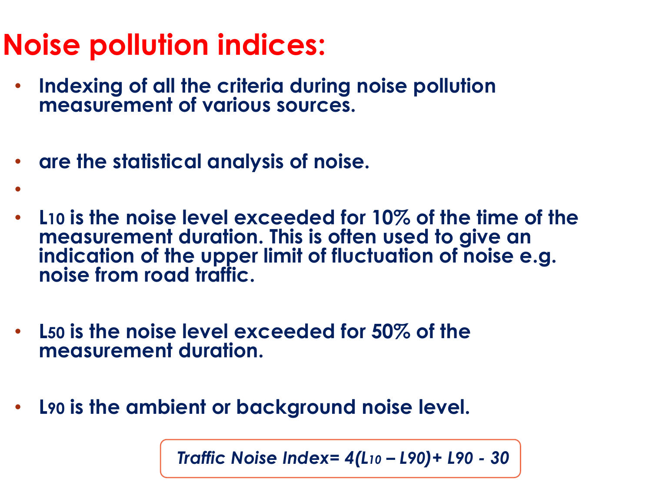### **Noise pollution indices:**

•

- **Indexing of all the criteria during noise pollution measurement of various sources.**
- **are the statistical analysis of noise.**
- **L10 is the noise level exceeded for 10% of the time of the measurement duration. This is often used to give an indication of the upper limit of fluctuation of noise e.g. noise from road traffic.**
- **L50 is the noise level exceeded for 50% of the measurement duration.**
- **L90 is the ambient or background noise level.**

*Traffic Noise Index= 4(L<sup>10</sup> – L90)+ L90 - 30*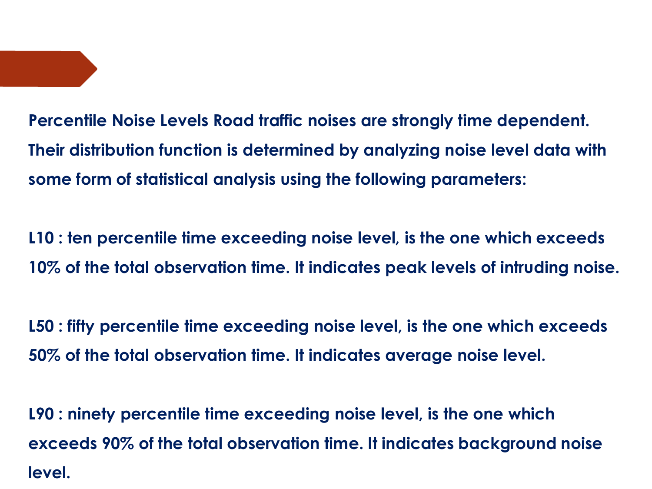**Percentile Noise Levels Road traffic noises are strongly time dependent. Their distribution function is determined by analyzing noise level data with some form of statistical analysis using the following parameters:** 

**L10 : ten percentile time exceeding noise level, is the one which exceeds 10% of the total observation time. It indicates peak levels of intruding noise.** 

**L50 : fifty percentile time exceeding noise level, is the one which exceeds 50% of the total observation time. It indicates average noise level.** 

**L90 : ninety percentile time exceeding noise level, is the one which exceeds 90% of the total observation time. It indicates background noise level.**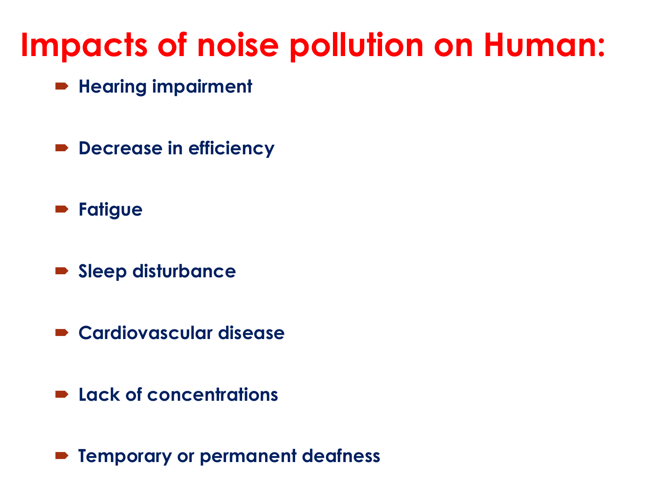# **Impacts of noise pollution on Human:**

- **Hearing impairment**
- **P** Decrease in efficiency
- **Fatigue**
- **Sleep disturbance**
- **Cardiovascular disease**
- **Lack of concentrations**
- **Temporary or permanent deafness**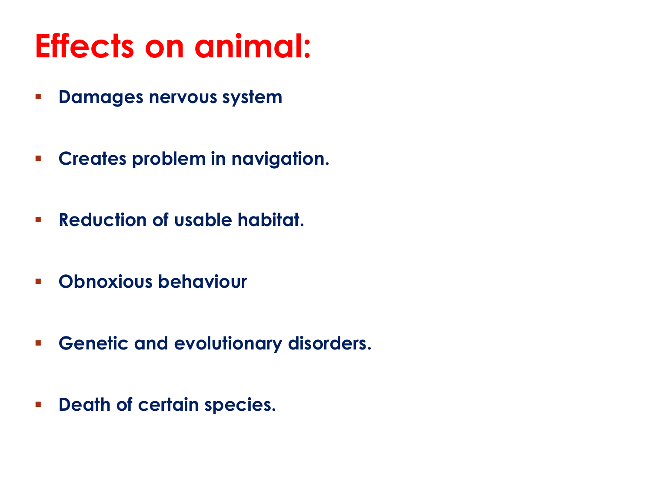# **Effects on animal:**

- **Damages nervous system**
- **Creates problem in navigation.**
- **Reduction of usable habitat.**
- **Obnoxious behaviour**
- **Genetic and evolutionary disorders.**
- **PEARE:** Death of certain species.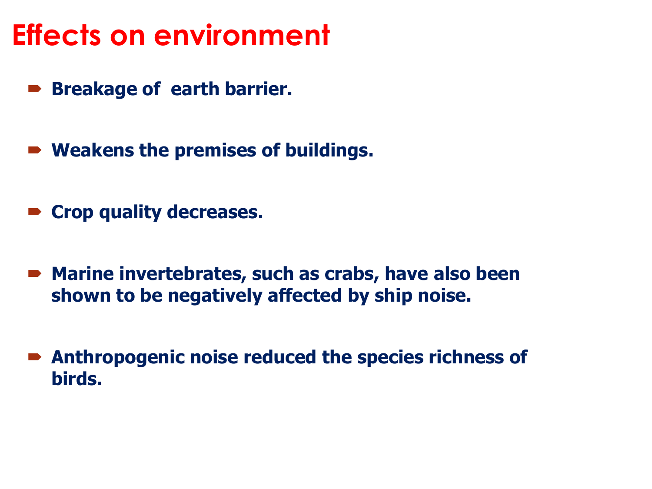#### **Effects on environment**

- **Breakage of earth barrier.**
- **Weakens the premises of buildings.**
- **Crop quality decreases.**
- **Marine invertebrates, such as crabs, have also been shown to be negatively affected by ship noise.**
- **Anthropogenic noise reduced the species richness of birds.**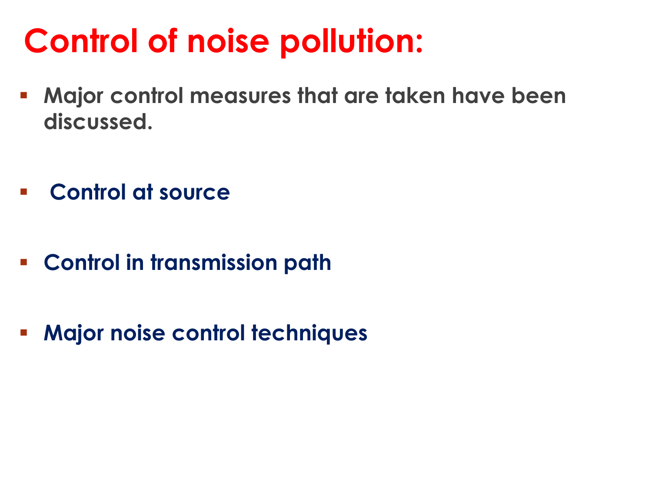# **Control of noise pollution:**

- **Major control measures that are taken have been discussed.**
- **Control at source**
- **Control in transmission path**
- **Major noise control techniques**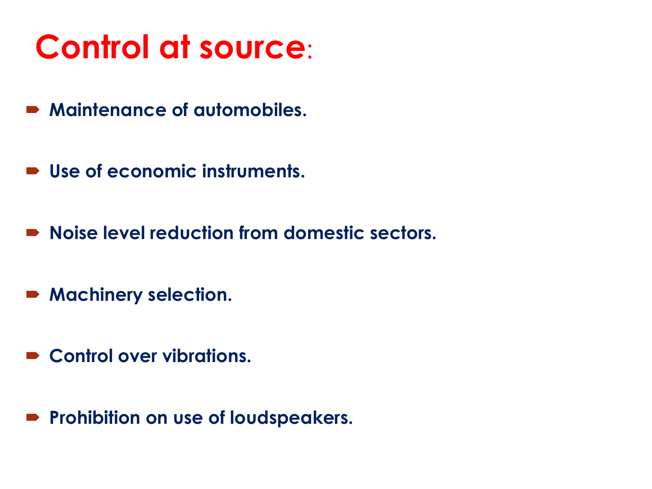# **Control at source**:

- **Maintenance of automobiles.**
- **Use of economic instruments.**
- **Noise level reduction from domestic sectors.**
- **Machinery selection.**
- **Control over vibrations.**
- **Prohibition on use of loudspeakers.**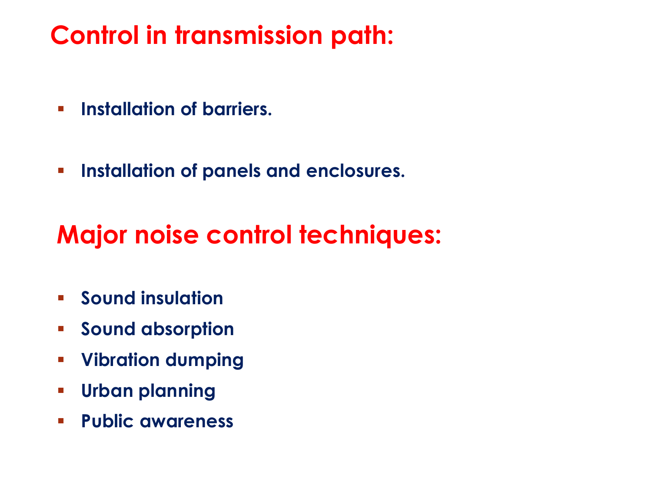#### **Control in transmission path:**

- **Fallation of barriers.**
- **Installation of panels and enclosures.**

#### **Major noise control techniques:**

- **Sound insulation**
- **Sound absorption**
- **Vibration dumping**
- **Urban planning**
- **Public awareness**